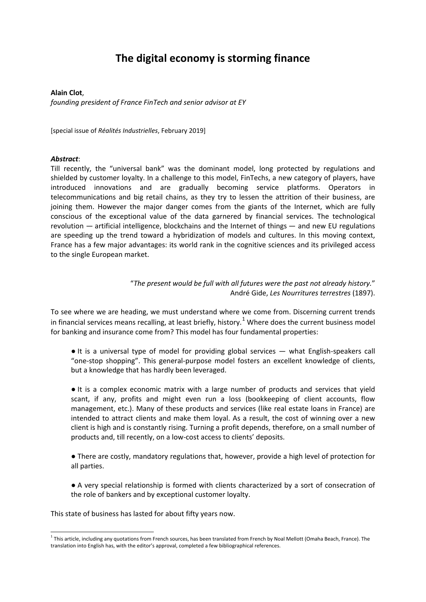#### **The digital economy is storming finance**

#### **Alain Clot**,

*founding president of France FinTech and senior advisor at EY*

[special issue of *Réalités Industrielles*, February 2019]

#### *Abstract*:

Till recently, the "universal bank" was the dominant model, long protected by regulations and shielded by customer loyalty. In a challenge to this model, FinTechs, a new category of players, have introduced innovations and are gradually becoming service platforms. Operators in telecommunications and big retail chains, as they try to lessen the attrition of their business, are joining them. However the major danger comes from the giants of the Internet, which are fully conscious of the exceptional value of the data garnered by financial services. The technological revolution — artificial intelligence, blockchains and the Internet of things — and new EU regulations are speeding up the trend toward a hybridization of models and cultures. In this moving context, France has a few major advantages: its world rank in the cognitive sciences and its privileged access to the single European market.

> "*The present would be full with all futures were the past not already history.*" André Gide, *Les Nourritures terrestres* (1897).

To see where we are heading, we must understand where we come from. Discerning current trends in financial services means recalling, at least briefly, history.<sup>[1](#page-0-0)</sup> Where does the current business model for banking and insurance come from? This model has four fundamental properties:

● It is a universal type of model for providing global services — what English-speakers call "one-stop shopping". This general-purpose model fosters an excellent knowledge of clients, but a knowledge that has hardly been leveraged.

● It is a complex economic matrix with a large number of products and services that yield scant, if any, profits and might even run a loss (bookkeeping of client accounts, flow management, etc.). Many of these products and services (like real estate loans in France) are intended to attract clients and make them loyal. As a result, the cost of winning over a new client is high and is constantly rising. Turning a profit depends, therefore, on a small number of products and, till recently, on a low-cost access to clients' deposits.

● There are costly, mandatory regulations that, however, provide a high level of protection for all parties.

● A very special relationship is formed with clients characterized by a sort of consecration of the role of bankers and by exceptional customer loyalty.

This state of business has lasted for about fifty years now.

<span id="page-0-0"></span><sup>-</sup> $^1$  This article, including any quotations from French sources, has been translated from French by Noal Mellott (Omaha Beach, France). The translation into English has, with the editor's approval, completed a few bibliographical references.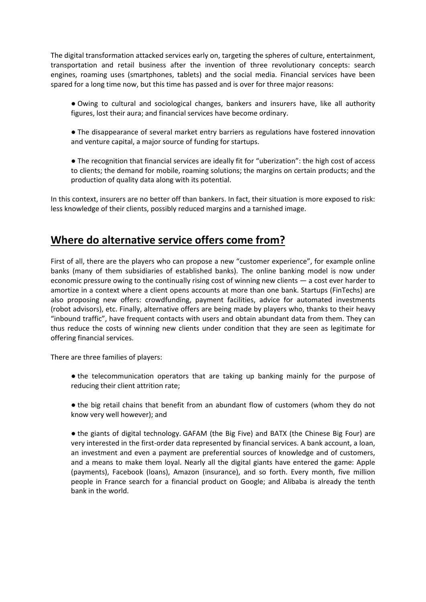The digital transformation attacked services early on, targeting the spheres of culture, entertainment, transportation and retail business after the invention of three revolutionary concepts: search engines, roaming uses (smartphones, tablets) and the social media. Financial services have been spared for a long time now, but this time has passed and is over for three major reasons:

● Owing to cultural and sociological changes, bankers and insurers have, like all authority figures, lost their aura; and financial services have become ordinary.

● The disappearance of several market entry barriers as regulations have fostered innovation and venture capital, a major source of funding for startups.

● The recognition that financial services are ideally fit for "uberization": the high cost of access to clients; the demand for mobile, roaming solutions; the margins on certain products; and the production of quality data along with its potential.

In this context, insurers are no better off than bankers. In fact, their situation is more exposed to risk: less knowledge of their clients, possibly reduced margins and a tarnished image.

#### **Where do alternative service offers come from?**

First of all, there are the players who can propose a new "customer experience", for example online banks (many of them subsidiaries of established banks). The online banking model is now under economic pressure owing to the continually rising cost of winning new clients — a cost ever harder to amortize in a context where a client opens accounts at more than one bank. Startups (FinTechs) are also proposing new offers: crowdfunding, payment facilities, advice for automated investments (robot advisors), etc. Finally, alternative offers are being made by players who, thanks to their heavy "inbound traffic", have frequent contacts with users and obtain abundant data from them. They can thus reduce the costs of winning new clients under condition that they are seen as legitimate for offering financial services.

There are three families of players:

• the telecommunication operators that are taking up banking mainly for the purpose of reducing their client attrition rate;

● the big retail chains that benefit from an abundant flow of customers (whom they do not know very well however); and

● the giants of digital technology. GAFAM (the Big Five) and BATX (the Chinese Big Four) are very interested in the first-order data represented by financial services. A bank account, a loan, an investment and even a payment are preferential sources of knowledge and of customers, and a means to make them loyal. Nearly all the digital giants have entered the game: Apple (payments), Facebook (loans), Amazon (insurance), and so forth. Every month, five million people in France search for a financial product on Google; and Alibaba is already the tenth bank in the world.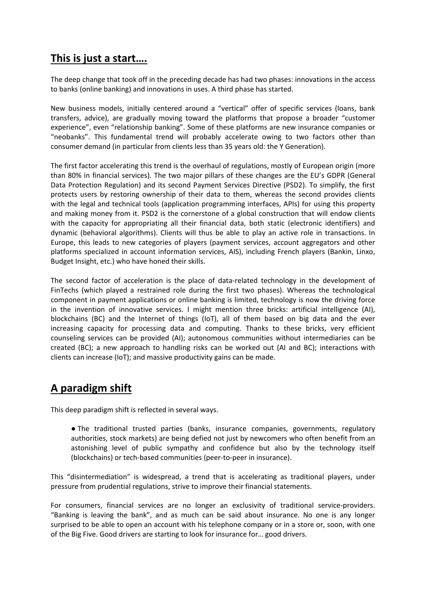## **This is just a start….**

The deep change that took off in the preceding decade has had two phases: innovations in the access to banks (online banking) and innovations in uses. A third phase has started.

New business models, initially centered around a "vertical" offer of specific services (loans, bank transfers, advice), are gradually moving toward the platforms that propose a broader "customer experience", even "relationship banking". Some of these platforms are new insurance companies or "neobanks". This fundamental trend will probably accelerate owing to two factors other than consumer demand (in particular from clients less than 35 years old: the Y Generation).

The first factor accelerating this trend is the overhaul of regulations, mostly of European origin (more than 80% in financial services). The two major pillars of these changes are the EU's GDPR (General Data Protection Regulation) and its second Payment Services Directive (PSD2). To simplify, the first protects users by restoring ownership of their data to them, whereas the second provides clients with the legal and technical tools (application programming interfaces, APIs) for using this property and making money from it. PSD2 is the cornerstone of a global construction that will endow clients with the capacity for appropriating all their financial data, both static (electronic identifiers) and dynamic (behavioral algorithms). Clients will thus be able to play an active role in transactions. In Europe, this leads to new categories of players (payment services, account aggregators and other platforms specialized in account information services, AIS), including French players (Bankin, Linxo, Budget Insight, etc.) who have honed their skills.

The second factor of acceleration is the place of data-related technology in the development of FinTechs (which played a restrained role during the first two phases). Whereas the technological component in payment applications or online banking is limited, technology is now the driving force in the invention of innovative services. I might mention three bricks: artificial intelligence (AI), blockchains (BC) and the Internet of things (IoT), all of them based on big data and the ever increasing capacity for processing data and computing. Thanks to these bricks, very efficient counseling services can be provided (AI); autonomous communities without intermediaries can be created (BC); a new approach to handling risks can be worked out (AI and BC); interactions with clients can increase (IoT); and massive productivity gains can be made.

# **A paradigm shift**

This deep paradigm shift is reflected in several ways.

● The traditional trusted parties (banks, insurance companies, governments, regulatory authorities, stock markets) are being defied not just by newcomers who often benefit from an astonishing level of public sympathy and confidence but also by the technology itself (blockchains) or tech-based communities (peer-to-peer in insurance).

This "disintermediation" is widespread, a trend that is accelerating as traditional players, under pressure from prudential regulations, strive to improve their financial statements.

For consumers, financial services are no longer an exclusivity of traditional service-providers. "Banking is leaving the bank", and as much can be said about insurance. No one is any longer surprised to be able to open an account with his telephone company or in a store or, soon, with one of the Big Five. Good drivers are starting to look for insurance for… good drivers.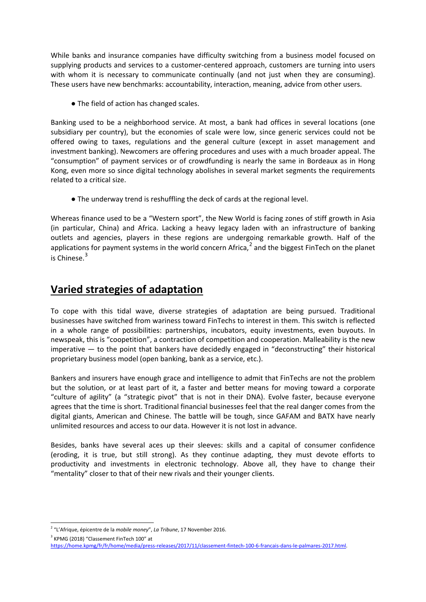While banks and insurance companies have difficulty switching from a business model focused on supplying products and services to a customer-centered approach, customers are turning into users with whom it is necessary to communicate continually (and not just when they are consuming). These users have new benchmarks: accountability, interaction, meaning, advice from other users.

● The field of action has changed scales.

Banking used to be a neighborhood service. At most, a bank had offices in several locations (one subsidiary per country), but the economies of scale were low, since generic services could not be offered owing to taxes, regulations and the general culture (except in asset management and investment banking). Newcomers are offering procedures and uses with a much broader appeal. The "consumption" of payment services or of crowdfunding is nearly the same in Bordeaux as in Hong Kong, even more so since digital technology abolishes in several market segments the requirements related to a critical size.

● The underway trend is reshuffling the deck of cards at the regional level.

Whereas finance used to be a "Western sport", the New World is facing zones of stiff growth in Asia (in particular, China) and Africa. Lacking a heavy legacy laden with an infrastructure of banking outlets and agencies, players in these regions are undergoing remarkable growth. Half of the applications for payment systems in the world concern Africa,<sup>[2](#page-3-0)</sup> and the biggest FinTech on the planet is Chinese  $3$ 

## **Varied strategies of adaptation**

To cope with this tidal wave, diverse strategies of adaptation are being pursued. Traditional businesses have switched from wariness toward FinTechs to interest in them. This switch is reflected in a whole range of possibilities: partnerships, incubators, equity investments, even buyouts. In newspeak, this is "coopetition", a contraction of competition and cooperation. Malleability is the new imperative — to the point that bankers have decidedly engaged in "deconstructing" their historical proprietary business model (open banking, bank as a service, etc.).

Bankers and insurers have enough grace and intelligence to admit that FinTechs are not the problem but the solution, or at least part of it, a faster and better means for moving toward a corporate "culture of agility" (a "strategic pivot" that is not in their DNA). Evolve faster, because everyone agrees that the time is short. Traditional financial businesses feel that the real danger comes from the digital giants, American and Chinese. The battle will be tough, since GAFAM and BATX have nearly unlimited resources and access to our data. However it is not lost in advance.

Besides, banks have several aces up their sleeves: skills and a capital of consumer confidence (eroding, it is true, but still strong). As they continue adapting, they must devote efforts to productivity and investments in electronic technology. Above all, they have to change their "mentality" closer to that of their new rivals and their younger clients.

<span id="page-3-1"></span><sup>3</sup> KPMG (2018) "Classement FinTech 100" at

<span id="page-3-0"></span><sup>-</sup><sup>2</sup> "L'Afrique, épicentre de la *mobile money*", *La Tribune*, 17 November 2016.

[https://home.kpmg/fr/fr/home/media/press-releases/2017/11/classement-fintech-100-6-francais-dans-le-palmares-2017.html.](https://home.kpmg/fr/fr/home/media/press-releases/2017/11/classement-fintech-100-6-francais-dans-le-palmares-2017.html)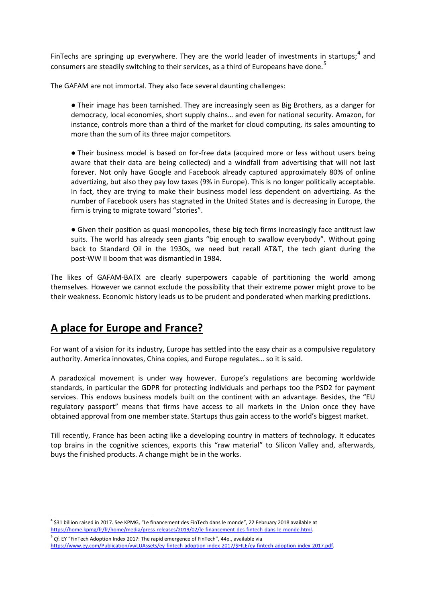FinTechs are springing up everywhere. They are the world leader of investments in startups;<sup>[4](#page-4-0)</sup> and consumers are steadily switching to their services, as a third of Europeans have done.<sup>[5](#page-4-1)</sup>

The GAFAM are not immortal. They also face several daunting challenges:

● Their image has been tarnished. They are increasingly seen as Big Brothers, as a danger for democracy, local economies, short supply chains… and even for national security. Amazon, for instance, controls more than a third of the market for cloud computing, its sales amounting to more than the sum of its three major competitors.

● Their business model is based on for-free data (acquired more or less without users being aware that their data are being collected) and a windfall from advertising that will not last forever. Not only have Google and Facebook already captured approximately 80% of online advertizing, but also they pay low taxes (9% in Europe). This is no longer politically acceptable. In fact, they are trying to make their business model less dependent on advertizing. As the number of Facebook users has stagnated in the United States and is decreasing in Europe, the firm is trying to migrate toward "stories".

● Given their position as quasi monopolies, these big tech firms increasingly face antitrust law suits. The world has already seen giants "big enough to swallow everybody". Without going back to Standard Oil in the 1930s, we need but recall AT&T, the tech giant during the post-WW II boom that was dismantled in 1984.

The likes of GAFAM-BATX are clearly superpowers capable of partitioning the world among themselves. However we cannot exclude the possibility that their extreme power might prove to be their weakness. Economic history leads us to be prudent and ponderated when marking predictions.

## **A place for Europe and France?**

For want of a vision for its industry, Europe has settled into the easy chair as a compulsive regulatory authority. America innovates, China copies, and Europe regulates… so it is said.

A paradoxical movement is under way however. Europe's regulations are becoming worldwide standards, in particular the GDPR for protecting individuals and perhaps too the PSD2 for payment services. This endows business models built on the continent with an advantage. Besides, the "EU regulatory passport" means that firms have access to all markets in the Union once they have obtained approval from one member state. Startups thus gain access to the world's biggest market.

Till recently, France has been acting like a developing country in matters of technology. It educates top brains in the cognitive sciences, exports this "raw material" to Silicon Valley and, afterwards, buys the finished products. A change might be in the works.

<span id="page-4-0"></span><sup>-</sup>**<sup>4</sup>** \$31 billion raised in 2017. See KPMG, "Le financement des FinTech dans le monde", 22 February 2018 available at [https://home.kpmg/fr/fr/home/media/press-releases/2019/02/le-financement-des-fintech-dans-le-monde.html.](https://home.kpmg/fr/fr/home/media/press-releases/2019/02/le-financement-des-fintech-dans-le-monde.html)

<span id="page-4-1"></span>**<sup>5</sup>** *Cf.* EY "FinTech Adoption Index 2017: The rapid emergence of FinTech", 44p., available via [https://www.ey.com/Publication/vwLUAssets/ey-fintech-adoption-index-2017/\\$FILE/ey-fintech-adoption-index-2017.pdf.](https://www.ey.com/Publication/vwLUAssets/ey-fintech-adoption-index-2017/$FILE/ey-fintech-adoption-index-2017.pdf)